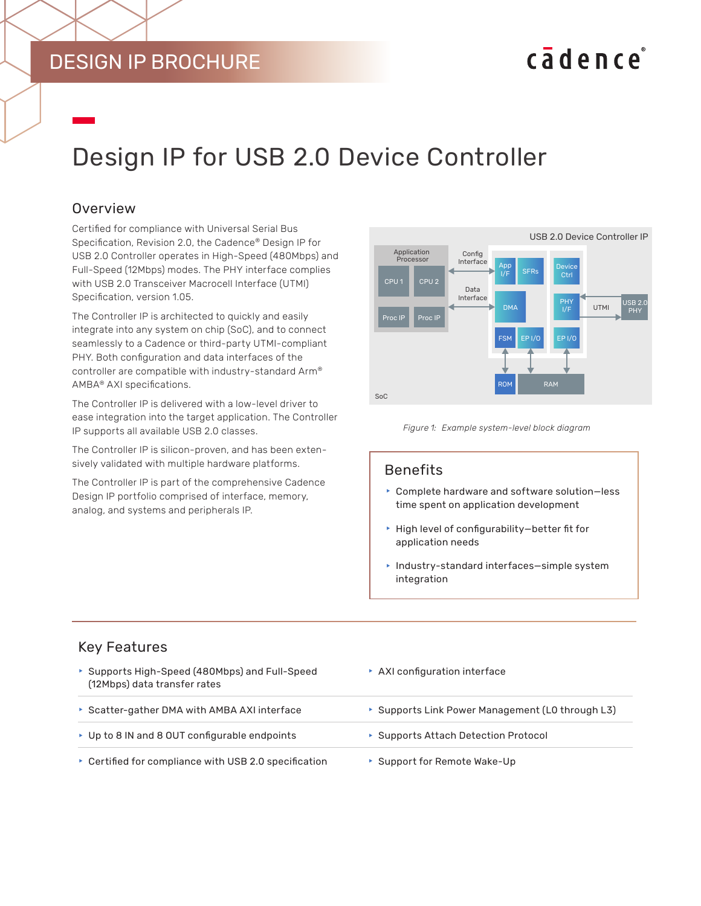# DESIGN IP BROCHURE

# cadence

# Design IP for USB 2.0 Device Controller

#### **Overview**

Certified for compliance with Universal Serial Bus Specification, Revision 2.0, the Cadence® Design IP for USB 2.0 Controller operates in High-Speed (480Mbps) and Full-Speed (12Mbps) modes. The PHY interface complies with USB 2.0 Transceiver Macrocell Interface (UTMI) Specification, version 1.05.

The Controller IP is architected to quickly and easily integrate into any system on chip (SoC), and to connect seamlessly to a Cadence or third-party UTMI-compliant PHY. Both configuration and data interfaces of the controller are compatible with industry-standard Arm® AMBA® AXI specifications.

The Controller IP is delivered with a low-level driver to ease integration into the target application. The Controller IP supports all available USB 2.0 classes.

The Controller IP is silicon-proven, and has been extensively validated with multiple hardware platforms.

The Controller IP is part of the comprehensive Cadence Design IP portfolio comprised of interface, memory, analog, and systems and peripherals IP.





#### Benefits

- $\triangleright$  Complete hardware and software solution-less time spent on application development
- $\blacktriangleright$  High level of configurability-better fit for application needs
- $\blacktriangleright$  Industry-standard interfaces-simple system integration

#### Key Features

- ▶ Supports High-Speed (480Mbps) and Full-Speed (12Mbps) data transfer rates  $\triangleright$  AXI configuration interface **F** Scatter-gather DMA with AMBA AXI interface **f Supports Link Power Management (L0 through L3)** ► Up to 8 IN and 8 OUT configurable endpoints **F** Supports Attach Detection Protocol
- ▶ Certified for compliance with USB 2.0 specification **F** Support for Remote Wake-Up
-